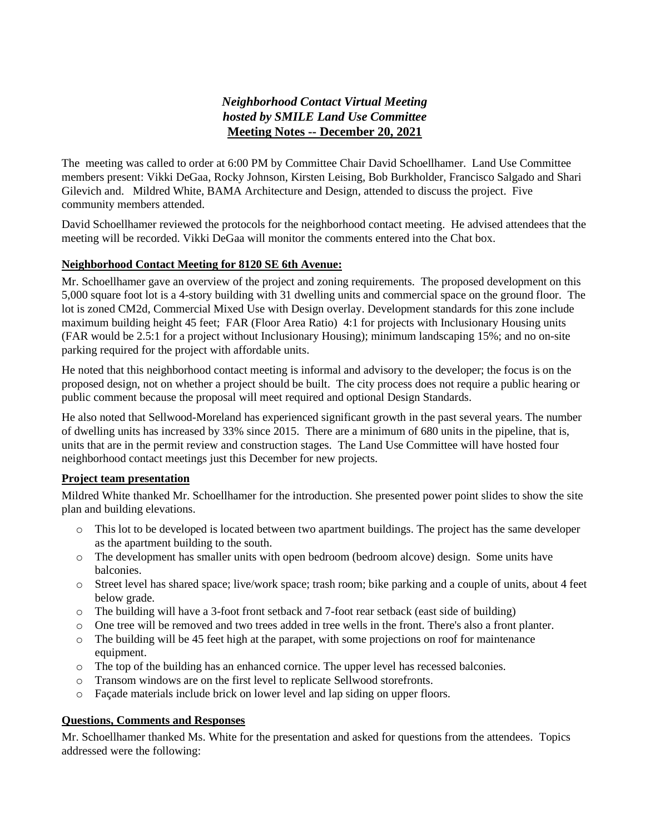## *Neighborhood Contact Virtual Meeting hosted by SMILE Land Use Committee*  **Meeting Notes -- December 20, 2021**

The meeting was called to order at 6:00 PM by Committee Chair David Schoellhamer. Land Use Committee members present: Vikki DeGaa, Rocky Johnson, Kirsten Leising, Bob Burkholder, Francisco Salgado and Shari Gilevich and. Mildred White, BAMA Architecture and Design, attended to discuss the project. Five community members attended.

David Schoellhamer reviewed the protocols for the neighborhood contact meeting. He advised attendees that the meeting will be recorded. Vikki DeGaa will monitor the comments entered into the Chat box.

## **Neighborhood Contact Meeting for 8120 SE 6th Avenue:**

Mr. Schoellhamer gave an overview of the project and zoning requirements. The proposed development on this 5,000 square foot lot is a 4-story building with 31 dwelling units and commercial space on the ground floor. The lot is zoned CM2d, Commercial Mixed Use with Design overlay. Development standards for this zone include maximum building height 45 feet; FAR (Floor Area Ratio) 4:1 for projects with Inclusionary Housing units (FAR would be 2.5:1 for a project without Inclusionary Housing); minimum landscaping 15%; and no on-site parking required for the project with affordable units.

He noted that this neighborhood contact meeting is informal and advisory to the developer; the focus is on the proposed design, not on whether a project should be built. The city process does not require a public hearing or public comment because the proposal will meet required and optional Design Standards.

He also noted that Sellwood-Moreland has experienced significant growth in the past several years. The number of dwelling units has increased by 33% since 2015. There are a minimum of 680 units in the pipeline, that is, units that are in the permit review and construction stages. The Land Use Committee will have hosted four neighborhood contact meetings just this December for new projects.

## **Project team presentation**

Mildred White thanked Mr. Schoellhamer for the introduction. She presented power point slides to show the site plan and building elevations.

- o This lot to be developed is located between two apartment buildings. The project has the same developer as the apartment building to the south.
- o The development has smaller units with open bedroom (bedroom alcove) design. Some units have balconies.
- o Street level has shared space; live/work space; trash room; bike parking and a couple of units, about 4 feet below grade.
- o The building will have a 3-foot front setback and 7-foot rear setback (east side of building)
- o One tree will be removed and two trees added in tree wells in the front. There's also a front planter.
- o The building will be 45 feet high at the parapet, with some projections on roof for maintenance equipment.
- o The top of the building has an enhanced cornice. The upper level has recessed balconies.
- o Transom windows are on the first level to replicate Sellwood storefronts.
- o Façade materials include brick on lower level and lap siding on upper floors.

## **Questions, Comments and Responses**

Mr. Schoellhamer thanked Ms. White for the presentation and asked for questions from the attendees. Topics addressed were the following: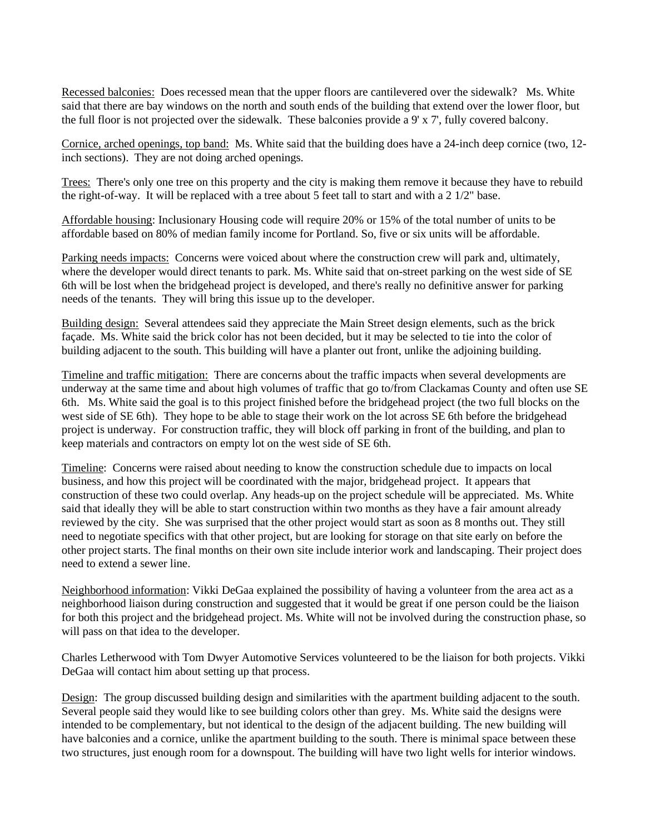Recessed balconies: Does recessed mean that the upper floors are cantilevered over the sidewalk? Ms. White said that there are bay windows on the north and south ends of the building that extend over the lower floor, but the full floor is not projected over the sidewalk. These balconies provide a 9' x 7', fully covered balcony.

Cornice, arched openings, top band: Ms. White said that the building does have a 24-inch deep cornice (two, 12 inch sections). They are not doing arched openings.

Trees:There's only one tree on this property and the city is making them remove it because they have to rebuild the right-of-way. It will be replaced with a tree about 5 feet tall to start and with a 2 1/2" base.

Affordable housing: Inclusionary Housing code will require 20% or 15% of the total number of units to be affordable based on 80% of median family income for Portland. So, five or six units will be affordable.

Parking needs impacts: Concerns were voiced about where the construction crew will park and, ultimately, where the developer would direct tenants to park. Ms. White said that on-street parking on the west side of SE 6th will be lost when the bridgehead project is developed, and there's really no definitive answer for parking needs of the tenants. They will bring this issue up to the developer.

Building design: Several attendees said they appreciate the Main Street design elements, such as the brick façade. Ms. White said the brick color has not been decided, but it may be selected to tie into the color of building adjacent to the south. This building will have a planter out front, unlike the adjoining building.

Timeline and traffic mitigation: There are concerns about the traffic impacts when several developments are underway at the same time and about high volumes of traffic that go to/from Clackamas County and often use SE 6th. Ms. White said the goal is to this project finished before the bridgehead project (the two full blocks on the west side of SE 6th). They hope to be able to stage their work on the lot across SE 6th before the bridgehead project is underway. For construction traffic, they will block off parking in front of the building, and plan to keep materials and contractors on empty lot on the west side of SE 6th.

Timeline: Concerns were raised about needing to know the construction schedule due to impacts on local business, and how this project will be coordinated with the major, bridgehead project. It appears that construction of these two could overlap. Any heads-up on the project schedule will be appreciated. Ms. White said that ideally they will be able to start construction within two months as they have a fair amount already reviewed by the city. She was surprised that the other project would start as soon as 8 months out. They still need to negotiate specifics with that other project, but are looking for storage on that site early on before the other project starts. The final months on their own site include interior work and landscaping. Their project does need to extend a sewer line.

Neighborhood information: Vikki DeGaa explained the possibility of having a volunteer from the area act as a neighborhood liaison during construction and suggested that it would be great if one person could be the liaison for both this project and the bridgehead project. Ms. White will not be involved during the construction phase, so will pass on that idea to the developer.

Charles Letherwood with Tom Dwyer Automotive Services volunteered to be the liaison for both projects. Vikki DeGaa will contact him about setting up that process.

Design: The group discussed building design and similarities with the apartment building adjacent to the south. Several people said they would like to see building colors other than grey. Ms. White said the designs were intended to be complementary, but not identical to the design of the adjacent building. The new building will have balconies and a cornice, unlike the apartment building to the south. There is minimal space between these two structures, just enough room for a downspout. The building will have two light wells for interior windows.